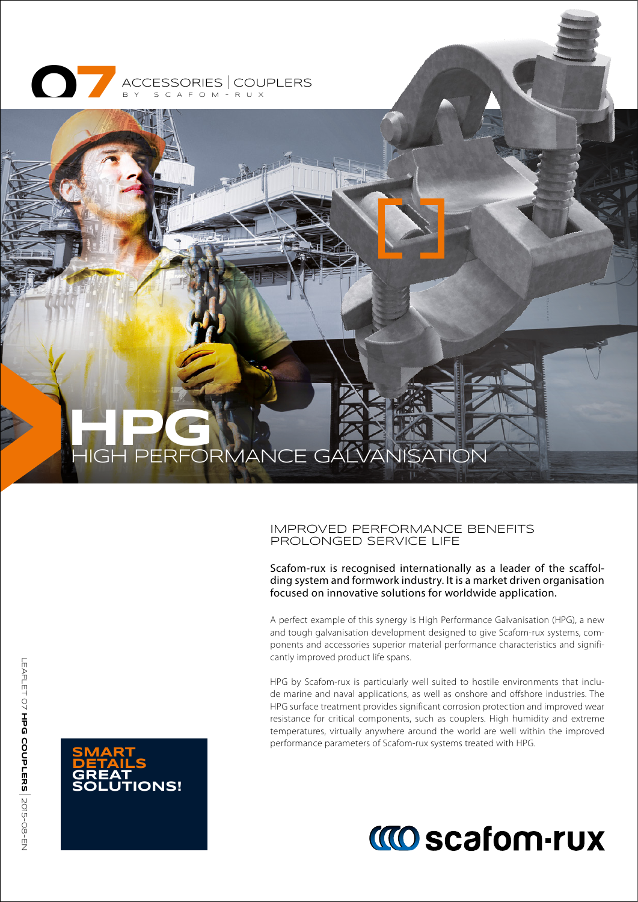

# **HPG** HIGH PERFORMANCE GALVANISATION

#### IMPROVED PERFORMANCE BENEFITS PROLONGED SERVICE LIFE

Scafom-rux is recognised internationally as a leader of the scaffolding system and formwork industry. It is a market driven organisation focused on innovative solutions for worldwide application.

A perfect example of this synergy is High Performance Galvanisation (HPG), a new and tough galvanisation development designed to give Scafom-rux systems, components and accessories superior material performance characteristics and significantly improved product life spans.

HPG by Scafom-rux is particularly well suited to hostile environments that include marine and naval applications, as well as onshore and offshore industries. The HPG surface treatment provides significant corrosion protection and improved wear resistance for critical components, such as couplers. High humidity and extreme temperatures, virtually anywhere around the world are well within the improved performance parameters of Scafom-rux systems treated with HPG.